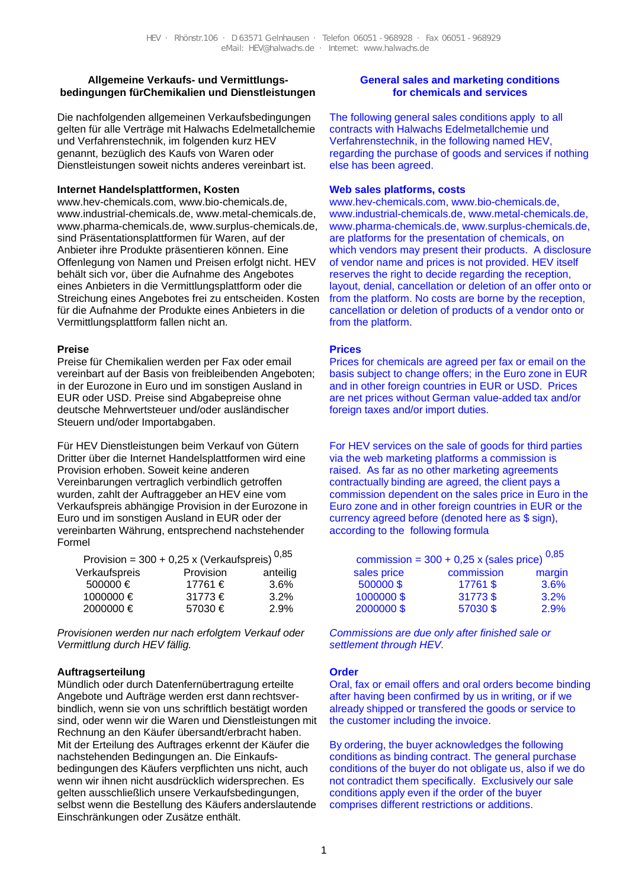## **Allgemeine Verkaufs- und Vermittlungsbedingungen fürChemikalien und Dienstleistungen**

Die nachfolgenden allgemeinen Verkaufsbedingungen gelten für alle Verträge mit Halwachs Edelmetallchemie und Verfahrenstechnik, im folgenden kurz HEV genannt, bezüglich des Kaufs von Waren oder Dienstleistungen soweit nichts anderes vereinbart ist.

### **Internet Handelsplattformen, Kosten**

www.hev-chemicals.com, www.bio-chemicals.de, www.industrial-chemicals.de, www.metal-chemicals.de, www.pharma-chemicals.de, www.surplus-chemicals.de, sind Präsentationsplattformen für Waren, auf der Anbieter ihre Produkte präsentieren können. Eine Offenlegung von Namen und Preisen erfolgt nicht. HEV behält sich vor, über die Aufnahme des Angebotes eines Anbieters in die Vermittlungsplattform oder die Streichung eines Angebotes frei zu entscheiden. Kosten für die Aufnahme der Produkte eines Anbieters in die Vermittlungsplattform fallen nicht an.

# **Preise**

Preise für Chemikalien werden per Fax oder email vereinbart auf der Basis von freibleibenden Angeboten; in der Eurozone in Euro und im sonstigen Ausland in EUR oder USD. Preise sind Abgabepreise ohne deutsche Mehrwertsteuer und/oder ausländischer Steuern und/oder Importabgaben.

Für HEV Dienstleistungen beim Verkauf von Gütern Dritter über die Internet Handelsplattformen wird eine Provision erhoben. Soweit keine anderen Vereinbarungen vertraglich verbindlich getroffen wurden, zahlt der Auftraggeber an HEV eine vom Verkaufspreis abhängige Provision in der Eurozone in Euro und im sonstigen Ausland in EUR oder der vereinbarten Währung, entsprechend nachstehender Formel

Provision =  $300 + 0.25$  x (Verkaufspreis)<sup>0,85</sup> Verkaufspreis Provision anteilig

| 500000 €  | 17761 €     | 3.6%    |
|-----------|-------------|---------|
| 1000000 € | $31773 \in$ | $3.2\%$ |
| 2000000 € | 57030 €     | 2.9%    |

*Provisionen werden nur nach erfolgtem Verkauf oder Vermittlung durch HEV fällig.*

# **Auftragserteilung**

Mündlich oder durch Datenfernübertragung erteilte Angebote und Aufträge werden erst dann rechtsverbindlich, wenn sie von uns schriftlich bestätigt worden sind, oder wenn wir die Waren und Dienstleistungen mit Rechnung an den Käufer übersandt/erbracht haben. Mit der Erteilung des Auftrages erkennt der Käufer die nachstehenden Bedingungen an. Die Einkaufsbedingungen des Käufers verpflichten uns nicht, auch wenn wir ihnen nicht ausdrücklich widersprechen. Es gelten ausschließlich unsere Verkaufsbedingungen, selbst wenn die Bestellung des Käufers anderslautende Einschränkungen oder Zusätze enthält.

# **General sales and marketing conditions for chemicals and services**

The following general sales conditions apply to all contracts with Halwachs Edelmetallchemie und Verfahrenstechnik, in the following named HEV, regarding the purchase of goods and services if nothing else has been agreed.

## **Web sales platforms, costs**

www.hev-chemicals.com, www.bio-chemicals.de, www.industrial-chemicals.de, www.metal-chemicals.de, www.pharma-chemicals.de, www.surplus-chemicals.de, are platforms for the presentation of chemicals, on which vendors may present their products. A disclosure of vendor name and prices is not provided. HEV itself reserves the right to decide regarding the reception, layout, denial, cancellation or deletion of an offer onto or from the platform. No costs are borne by the reception, cancellation or deletion of products of a vendor onto or from the platform.

# **Prices**

Prices for chemicals are agreed per fax or email on the basis subject to change offers; in the Euro zone in EUR and in other foreign countries in EUR or USD. Prices are net prices without German value-added tax and/or foreign taxes and/or import duties.

For HEV services on the sale of goods for third parties via the web marketing platforms a commission is raised. As far as no other marketing agreements contractually binding are agreed, the client pays a commission dependent on the sales price in Euro in the Euro zone and in other foreign countries in EUR or the currency agreed before (denoted here as \$ sign), according to the following formula

| commission = $300 + 0.25$ x (sales price) $^{0.85}$ |            |        |
|-----------------------------------------------------|------------|--------|
| sales price                                         | commission | margin |
| 500000\$                                            | 17761 \$   | 3.6%   |
| 1000000\$                                           | 31773\$    | 3.2%   |
| 2000000\$                                           | 57030\$    | 2.9%   |

*Commissions are due only after finished sale or settlement through HEV.*

# **Order**

Oral, fax or email offers and oral orders become binding after having been confirmed by us in writing, or if we already shipped or transfered the goods or service to the customer including the invoice.

By ordering, the buyer acknowledges the following conditions as binding contract. The general purchase conditions of the buyer do not obligate us, also if we do not contradict them specifically. Exclusively our sale conditions apply even if the order of the buyer comprises different restrictions or additions.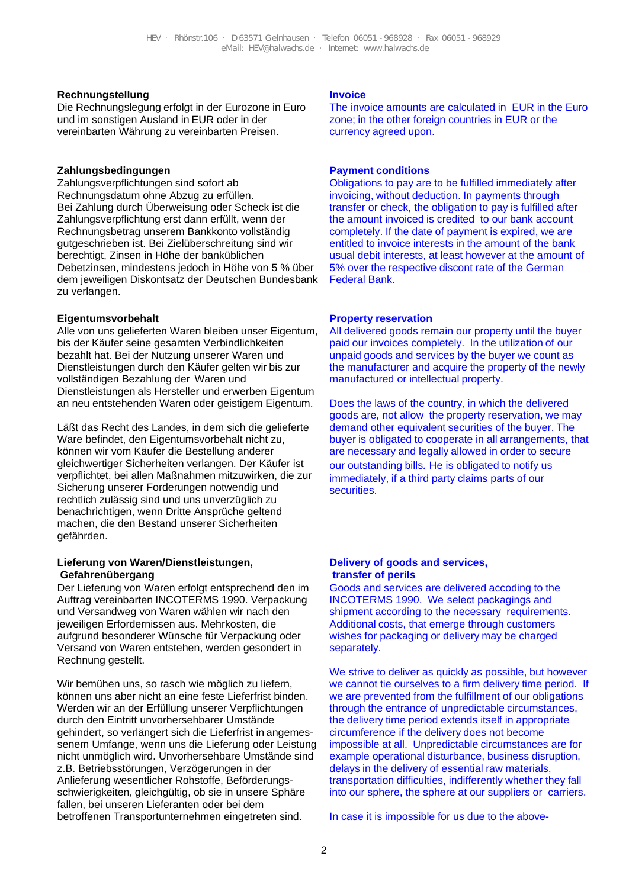## **Rechnungstellung**

Die Rechnungslegung erfolgt in der Eurozone in Euro und im sonstigen Ausland in EUR oder in der vereinbarten Währung zu vereinbarten Preisen.

## **Zahlungsbedingungen**

Zahlungsverpflichtungen sind sofort ab Rechnungsdatum ohne Abzug zu erfüllen. Bei Zahlung durch Überweisung oder Scheck ist die Zahlungsverpflichtung erst dann erfüllt, wenn der Rechnungsbetrag unserem Bankkonto vollständig gutgeschrieben ist. Bei Zielüberschreitung sind wir berechtigt, Zinsen in Höhe der banküblichen Debetzinsen, mindestens jedoch in Höhe von 5 % über dem jeweiligen Diskontsatz der Deutschen Bundesbank zu verlangen.

# **Eigentumsvorbehalt**

Alle von uns gelieferten Waren bleiben unser Eigentum, bis der Käufer seine gesamten Verbindlichkeiten bezahlt hat. Bei der Nutzung unserer Waren und Dienstleistungen durch den Käufer gelten wir bis zur vollständigen Bezahlung der Waren und Dienstleistungen als Hersteller und erwerben Eigentum an neu entstehenden Waren oder geistigem Eigentum.

Läßt das Recht des Landes, in dem sich die gelieferte Ware befindet, den Eigentumsvorbehalt nicht zu, können wir vom Käufer die Bestellung anderer gleichwertiger Sicherheiten verlangen. Der Käufer ist verpflichtet, bei allen Maßnahmen mitzuwirken, die zur Sicherung unserer Forderungen notwendig und rechtlich zulässig sind und uns unverzüglich zu benachrichtigen, wenn Dritte Ansprüche geltend machen, die den Bestand unserer Sicherheiten gefährden.

#### **Lieferung von Waren/Dienstleistungen, Gefahrenübergang**

Der Lieferung von Waren erfolgt entsprechend den im Auftrag vereinbarten INCOTERMS 1990. Verpackung und Versandweg von Waren wählen wir nach den jeweiligen Erfordernissen aus. Mehrkosten, die aufgrund besonderer Wünsche für Verpackung oder Versand von Waren entstehen, werden gesondert in Rechnung gestellt.

Wir bemühen uns, so rasch wie möglich zu liefern, können uns aber nicht an eine feste Lieferfrist binden. Werden wir an der Erfüllung unserer Verpflichtungen durch den Eintritt unvorhersehbarer Umstände gehindert, so verlängert sich die Lieferfrist in angemessenem Umfange, wenn uns die Lieferung oder Leistung nicht unmöglich wird. Unvorhersehbare Umstände sind z.B. Betriebsstörungen, Verzögerungen in der Anlieferung wesentlicher Rohstoffe, Beförderungsschwierigkeiten, gleichgültig, ob sie in unsere Sphäre fallen, bei unseren Lieferanten oder bei dem betroffenen Transportunternehmen eingetreten sind.

## **Invoice**

The invoice amounts are calculated in EUR in the Euro zone; in the other foreign countries in EUR or the currency agreed upon.

## **Payment conditions**

Obligations to pay are to be fulfilled immediately after invoicing, without deduction. In payments through transfer or check, the obligation to pay is fulfilled after the amount invoiced is credited to our bank account completely. If the date of payment is expired, we are entitled to invoice interests in the amount of the bank usual debit interests, at least however at the amount of 5% over the respective discont rate of the German Federal Bank.

## **Property reservation**

All delivered goods remain our property until the buyer paid our invoices completely. In the utilization of our unpaid goods and services by the buyer we count as the manufacturer and acquire the property of the newly manufactured or intellectual property.

Does the laws of the country, in which the delivered goods are, not allow the property reservation, we may demand other equivalent securities of the buyer. The buyer is obligated to cooperate in all arrangements, that are necessary and legally allowed in order to secure our outstanding bills. He is obligated to notify us immediately, if a third party claims parts of our **securities** 

### **Delivery of goods and services, transfer of perils**

Goods and services are delivered accoding to the INCOTERMS 1990. We select packagings and shipment according to the necessary requirements. Additional costs, that emerge through customers wishes for packaging or delivery may be charged separately.

We strive to deliver as quickly as possible, but however we cannot tie ourselves to a firm delivery time period. If we are prevented from the fulfillment of our obligations through the entrance of unpredictable circumstances, the delivery time period extends itself in appropriate circumference if the delivery does not become impossible at all. Unpredictable circumstances are for example operational disturbance, business disruption, delays in the delivery of essential raw materials, transportation difficulties, indifferently whether they fall into our sphere, the sphere at our suppliers or carriers.

In case it is impossible for us due to the above-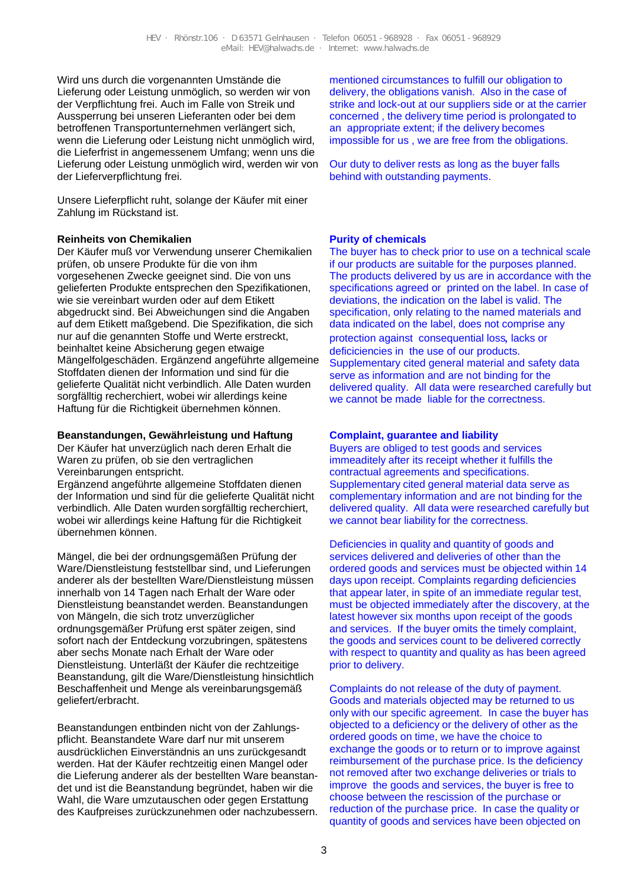Wird uns durch die vorgenannten Umstände die Lieferung oder Leistung unmöglich, so werden wir von der Verpflichtung frei. Auch im Falle von Streik und Aussperrung bei unseren Lieferanten oder bei dem betroffenen Transportunternehmen verlängert sich, wenn die Lieferung oder Leistung nicht unmöglich wird, die Lieferfrist in angemessenem Umfang; wenn uns die Lieferung oder Leistung unmöglich wird, werden wir von der Lieferverpflichtung frei.

Unsere Lieferpflicht ruht, solange der Käufer mit einer Zahlung im Rückstand ist.

# **Reinheits von Chemikalien**

Der Käufer muß vor Verwendung unserer Chemikalien prüfen, ob unsere Produkte für die von ihm vorgesehenen Zwecke geeignet sind. Die von uns gelieferten Produkte entsprechen den Spezifikationen, wie sie vereinbart wurden oder auf dem Etikett abgedruckt sind. Bei Abweichungen sind die Angaben auf dem Etikett maßgebend. Die Spezifikation, die sich nur auf die genannten Stoffe und Werte erstreckt, beinhaltet keine Absicherung gegen etwaige Mängelfolgeschäden. Ergänzend angeführte allgemeine Stoffdaten dienen der Information und sind für die gelieferte Qualität nicht verbindlich. Alle Daten wurden sorgfälltig recherchiert, wobei wir allerdings keine Haftung für die Richtigkeit übernehmen können.

## **Beanstandungen, Gewährleistung und Haftung**

Der Käufer hat unverzüglich nach deren Erhalt die Waren zu prüfen, ob sie den vertraglichen Vereinbarungen entspricht.

Ergänzend angeführte allgemeine Stoffdaten dienen der Information und sind für die gelieferte Qualität nicht verbindlich. Alle Daten wurden sorgfälltig recherchiert, wobei wir allerdings keine Haftung für die Richtigkeit übernehmen können.

Mängel, die bei der ordnungsgemäßen Prüfung der Ware/Dienstleistung feststellbar sind, und Lieferungen anderer als der bestellten Ware/Dienstleistung müssen innerhalb von 14 Tagen nach Erhalt der Ware oder Dienstleistung beanstandet werden. Beanstandungen von Mängeln, die sich trotz unverzüglicher ordnungsgemäßer Prüfung erst später zeigen, sind sofort nach der Entdeckung vorzubringen, spätestens aber sechs Monate nach Erhalt der Ware oder Dienstleistung. Unterläßt der Käufer die rechtzeitige Beanstandung, gilt die Ware/Dienstleistung hinsichtlich Beschaffenheit und Menge als vereinbarungsgemäß geliefert/erbracht.

Beanstandungen entbinden nicht von der Zahlungspflicht. Beanstandete Ware darf nur mit unserem ausdrücklichen Einverständnis an uns zurückgesandt werden. Hat der Käufer rechtzeitig einen Mangel oder die Lieferung anderer als der bestellten Ware beanstandet und ist die Beanstandung begründet, haben wir die Wahl, die Ware umzutauschen oder gegen Erstattung des Kaufpreises zurückzunehmen oder nachzubessern. mentioned circumstances to fulfill our obligation to delivery, the obligations vanish. Also in the case of strike and lock-out at our suppliers side or at the carrier concerned , the delivery time period is prolongated to an appropriate extent; if the delivery becomes impossible for us , we are free from the obligations.

Our duty to deliver rests as long as the buyer falls behind with outstanding payments.

# **Purity of chemicals**

The buyer has to check prior to use on a technical scale if our products are suitable for the purposes planned. The products delivered by us are in accordance with the specifications agreed or printed on the label. In case of deviations, the indication on the label is valid. The specification, only relating to the named materials and data indicated on the label, does not comprise any protection against consequential loss, lacks or deficiciencies in the use of our products. Supplementary cited general material and safety data serve as information and are not binding for the delivered quality. All data were researched carefully but we cannot be made liable for the correctness.

## **Complaint, guarantee and liability**

Buyers are obliged to test goods and services immeaditely after its receipt whether it fulfills the contractual agreements and specifications. Supplementary cited general material data serve as complementary information and are not binding for the delivered quality. All data were researched carefully but we cannot bear liability for the correctness.

Deficiencies in quality and quantity of goods and services delivered and deliveries of other than the ordered goods and services must be objected within 14 days upon receipt. Complaints regarding deficiencies that appear later, in spite of an immediate regular test, must be objected immediately after the discovery, at the latest however six months upon receipt of the goods and services. If the buyer omits the timely complaint, the goods and services count to be delivered correctly with respect to quantity and quality as has been agreed prior to delivery.

Complaints do not release of the duty of payment. Goods and materials objected may be returned to us only with our specific agreement. In case the buyer has objected to a deficiency or the delivery of other as the ordered goods on time, we have the choice to exchange the goods or to return or to improve against reimbursement of the purchase price. Is the deficiency not removed after two exchange deliveries or trials to improve the goods and services, the buyer is free to choose between the rescission of the purchase or reduction of the purchase price. In case the quality or quantity of goods and services have been objected on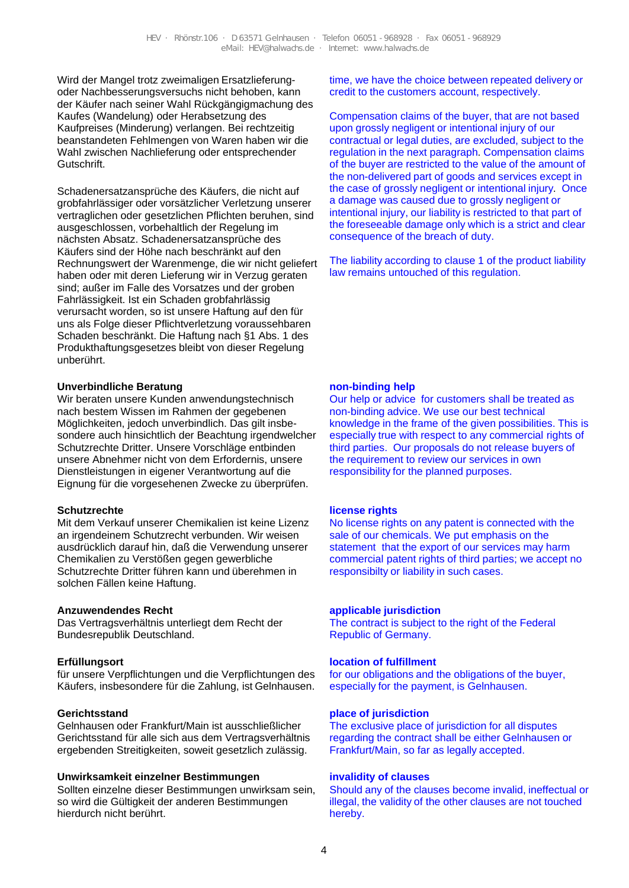Wird der Mangel trotz zweimaligen Ersatzlieferungoder Nachbesserungsversuchs nicht behoben, kann der Käufer nach seiner Wahl Rückgängigmachung des Kaufes (Wandelung) oder Herabsetzung des Kaufpreises (Minderung) verlangen. Bei rechtzeitig beanstandeten Fehlmengen von Waren haben wir die Wahl zwischen Nachlieferung oder entsprechender Gutschrift.

Schadenersatzansprüche des Käufers, die nicht auf grobfahrlässiger oder vorsätzlicher Verletzung unserer vertraglichen oder gesetzlichen Pflichten beruhen, sind ausgeschlossen, vorbehaltlich der Regelung im nächsten Absatz. Schadenersatzansprüche des Käufers sind der Höhe nach beschränkt auf den Rechnungswert der Warenmenge, die wir nicht geliefert haben oder mit deren Lieferung wir in Verzug geraten sind; außer im Falle des Vorsatzes und der groben Fahrlässigkeit. Ist ein Schaden grobfahrlässig verursacht worden, so ist unsere Haftung auf den für uns als Folge dieser Pflichtverletzung voraussehbaren Schaden beschränkt. Die Haftung nach §1 Abs. 1 des Produkthaftungsgesetzes bleibt von dieser Regelung unberührt.

## **Unverbindliche Beratung**

Wir beraten unsere Kunden anwendungstechnisch nach bestem Wissen im Rahmen der gegebenen Möglichkeiten, jedoch unverbindlich. Das gilt insbesondere auch hinsichtlich der Beachtung irgendwelcher Schutzrechte Dritter. Unsere Vorschläge entbinden unsere Abnehmer nicht von dem Erfordernis, unsere Dienstleistungen in eigener Verantwortung auf die Eignung für die vorgesehenen Zwecke zu überprüfen.

### **Schutzrechte**

Mit dem Verkauf unserer Chemikalien ist keine Lizenz an irgendeinem Schutzrecht verbunden. Wir weisen ausdrücklich darauf hin, daß die Verwendung unserer Chemikalien zu Verstößen gegen gewerbliche Schutzrechte Dritter führen kann und überehmen in solchen Fällen keine Haftung.

### **Anzuwendendes Recht**

Das Vertragsverhältnis unterliegt dem Recht der Bundesrepublik Deutschland.

### **Erfüllungsort**

für unsere Verpflichtungen und die Verpflichtungen des Käufers, insbesondere für die Zahlung, ist Gelnhausen.

### **Gerichtsstand**

Gelnhausen oder Frankfurt/Main ist ausschließlicher Gerichtsstand für alle sich aus dem Vertragsverhältnis ergebenden Streitigkeiten, soweit gesetzlich zulässig.

### **Unwirksamkeit einzelner Bestimmungen**

Sollten einzelne dieser Bestimmungen unwirksam sein, so wird die Gültigkeit der anderen Bestimmungen hierdurch nicht berührt.

time, we have the choice between repeated delivery or credit to the customers account, respectively.

Compensation claims of the buyer, that are not based upon grossly negligent or intentional injury of our contractual or legal duties, are excluded, subject to the regulation in the next paragraph. Compensation claims of the buyer are restricted to the value of the amount of the non-delivered part of goods and services except in the case of grossly negligent or intentional injury. Once a damage was caused due to grossly negligent or intentional injury, our liability is restricted to that part of the foreseeable damage only which is a strict and clear consequence of the breach of duty.

The liability according to clause 1 of the product liability law remains untouched of this regulation.

## **non-binding help**

Our help or advice for customers shall be treated as non-binding advice. We use our best technical knowledge in the frame of the given possibilities. This is especially true with respect to any commercial rights of third parties. Our proposals do not release buyers of the requirement to review our services in own responsibility for the planned purposes.

### **license rights**

No license rights on any patent is connected with the sale of our chemicals. We put emphasis on the statement that the export of our services may harm commercial patent rights of third parties; we accept no responsibilty or liability in such cases.

### **applicable jurisdiction**

The contract is subject to the right of the Federal Republic of Germany.

### **location of fulfillment**

for our obligations and the obligations of the buyer, especially for the payment, is Gelnhausen.

### **place of jurisdiction**

The exclusive place of jurisdiction for all disputes regarding the contract shall be either Gelnhausen or Frankfurt/Main, so far as legally accepted.

### **invalidity of clauses**

Should any of the clauses become invalid, ineffectual or illegal, the validity of the other clauses are not touched hereby.